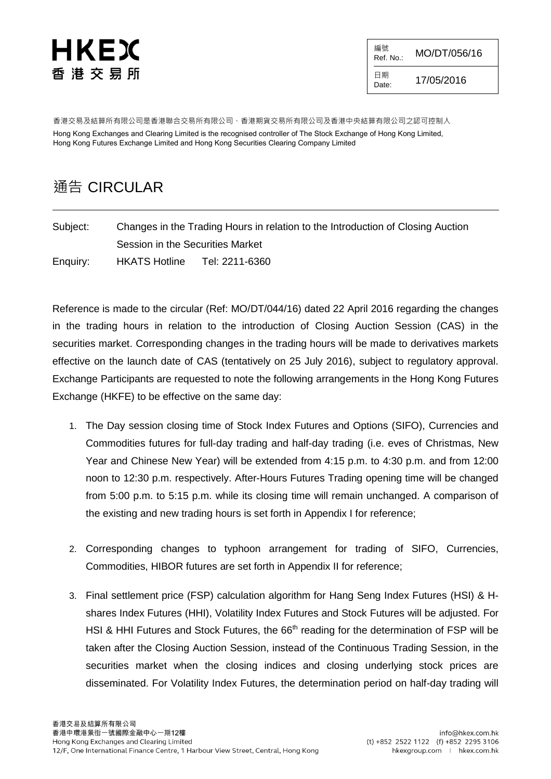# HKEX 香 港 交 易 所

編號  $R_{\text{Ref. No.}:}$  MO/DT/056/16

日期  $D_{\text{late}}$  17/05/2016

香港交易及結算所有限公司是香港聯合交易所有限公司、香港期貨交易所有限公司及香港中央結算有限公司之認可控制人 Hong Kong Exchanges and Clearing Limited is the recognised controller of The Stock Exchange of Hong Kong Limited, Hong Kong Futures Exchange Limited and Hong Kong Securities Clearing Company Limited

## 通告 CIRCULAR

Subject: Changes in the Trading Hours in relation to the Introduction of Closing Auction Session in the Securities Market Enquiry: HKATS Hotline Tel: 2211-6360

Reference is made to the circular (Ref: MO/DT/044/16) dated 22 April 2016 regarding the changes in the trading hours in relation to the introduction of Closing Auction Session (CAS) in the securities market. Corresponding changes in the trading hours will be made to derivatives markets effective on the launch date of CAS (tentatively on 25 July 2016), subject to regulatory approval. Exchange Participants are requested to note the following arrangements in the Hong Kong Futures Exchange (HKFE) to be effective on the same day:

- 1. The Day session closing time of Stock Index Futures and Options (SIFO), Currencies and Commodities futures for full-day trading and half-day trading (i.e. eves of Christmas, New Year and Chinese New Year) will be extended from 4:15 p.m. to 4:30 p.m. and from 12:00 noon to 12:30 p.m. respectively. After-Hours Futures Trading opening time will be changed from 5:00 p.m. to 5:15 p.m. while its closing time will remain unchanged. A comparison of the existing and new trading hours is set forth in Appendix I for reference;
- 2. Corresponding changes to typhoon arrangement for trading of SIFO, Currencies, Commodities, HIBOR futures are set forth in Appendix II for reference;
- 3. Final settlement price (FSP) calculation algorithm for Hang Seng Index Futures (HSI) & Hshares Index Futures (HHI), Volatility Index Futures and Stock Futures will be adjusted. For HSI & HHI Futures and Stock Futures, the 66<sup>th</sup> reading for the determination of FSP will be taken after the Closing Auction Session, instead of the Continuous Trading Session, in the securities market when the closing indices and closing underlying stock prices are disseminated. For Volatility Index Futures, the determination period on half-day trading will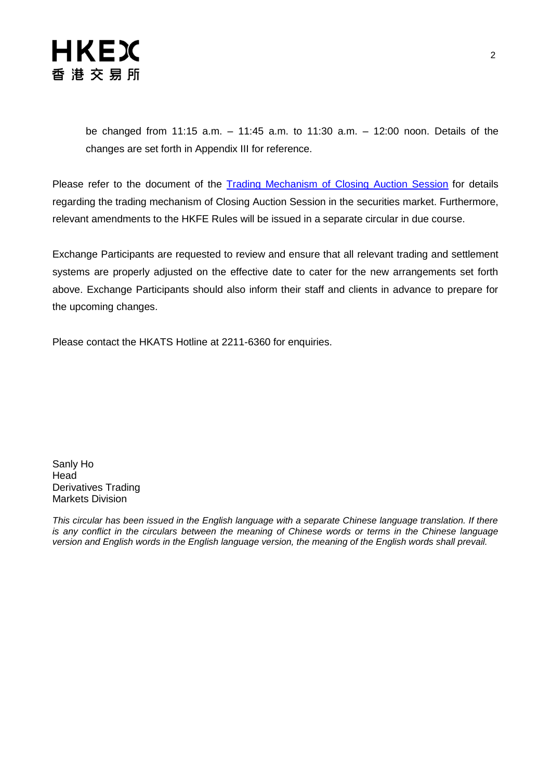

be changed from 11:15 a.m. – 11:45 a.m. to 11:30 a.m. – 12:00 noon. Details of the changes are set forth in Appendix III for reference.

Please refer to the document of the [Trading Mechanism of Closing Auction Session](http://www.hkex.com.hk/eng/market/sec_tradinfra/vcm_cas/Documents/Trading%20Mechanism%20of%20the%20CAS%20in%20the%20Securities%20Market.pdf) for details regarding the trading mechanism of Closing Auction Session in the securities market. Furthermore, relevant amendments to the HKFE Rules will be issued in a separate circular in due course.

Exchange Participants are requested to review and ensure that all relevant trading and settlement systems are properly adjusted on the effective date to cater for the new arrangements set forth above. Exchange Participants should also inform their staff and clients in advance to prepare for the upcoming changes.

Please contact the HKATS Hotline at 2211-6360 for enquiries.

Sanly Ho Head Derivatives Trading Markets Division

*This circular has been issued in the English language with a separate Chinese language translation. If there is any conflict in the circulars between the meaning of Chinese words or terms in the Chinese language version and English words in the English language version, the meaning of the English words shall prevail.*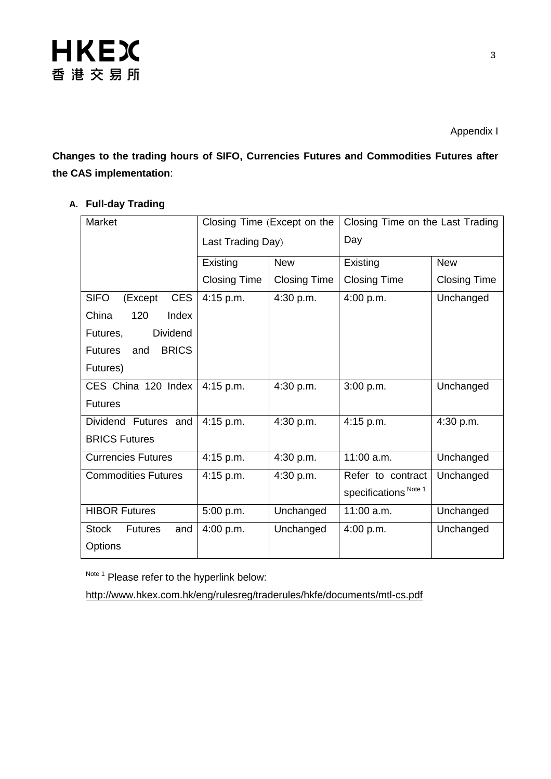

Appendix I

**Changes to the trading hours of SIFO, Currencies Futures and Commodities Futures after the CAS implementation**:

### **A. Full-day Trading**

| Market                                | Closing Time (Except on the |                     | Closing Time on the Last Trading |                     |
|---------------------------------------|-----------------------------|---------------------|----------------------------------|---------------------|
|                                       | Last Trading Day)           |                     | Day                              |                     |
|                                       | Existing                    | <b>New</b>          | Existing                         | <b>New</b>          |
|                                       | <b>Closing Time</b>         | <b>Closing Time</b> | <b>Closing Time</b>              | <b>Closing Time</b> |
| <b>CES</b><br><b>SIFO</b><br>(Except  | $4:15$ p.m.                 | 4:30 p.m.           | 4:00 p.m.                        | Unchanged           |
| 120<br>China<br>Index                 |                             |                     |                                  |                     |
| <b>Dividend</b><br>Futures,           |                             |                     |                                  |                     |
| <b>BRICS</b><br><b>Futures</b><br>and |                             |                     |                                  |                     |
| Futures)                              |                             |                     |                                  |                     |
| CES China 120 Index                   | $4:15$ p.m.                 | 4:30 p.m.           | 3:00 p.m.                        | Unchanged           |
| <b>Futures</b>                        |                             |                     |                                  |                     |
| Dividend Futures and                  | 4:15 p.m.                   | 4:30 p.m.           | 4:15 p.m.                        | 4:30 p.m.           |
| <b>BRICS Futures</b>                  |                             |                     |                                  |                     |
| <b>Currencies Futures</b>             | 4:15 p.m.                   | 4:30 p.m.           | 11:00 a.m.                       | Unchanged           |
| <b>Commodities Futures</b>            | $4:15$ p.m.                 | 4:30 p.m.           | Refer to contract                | Unchanged           |
|                                       |                             |                     | specifications Note 1            |                     |
| <b>HIBOR Futures</b>                  | 5:00 p.m.                   | Unchanged           | $11:00$ a.m.                     | Unchanged           |
| <b>Stock</b><br><b>Futures</b><br>and | 4:00 p.m.                   | Unchanged           | 4:00 p.m.                        | Unchanged           |
| Options                               |                             |                     |                                  |                     |

Note 1 Please refer to the hyperlink below:

<http://www.hkex.com.hk/eng/rulesreg/traderules/hkfe/documents/mtl-cs.pdf>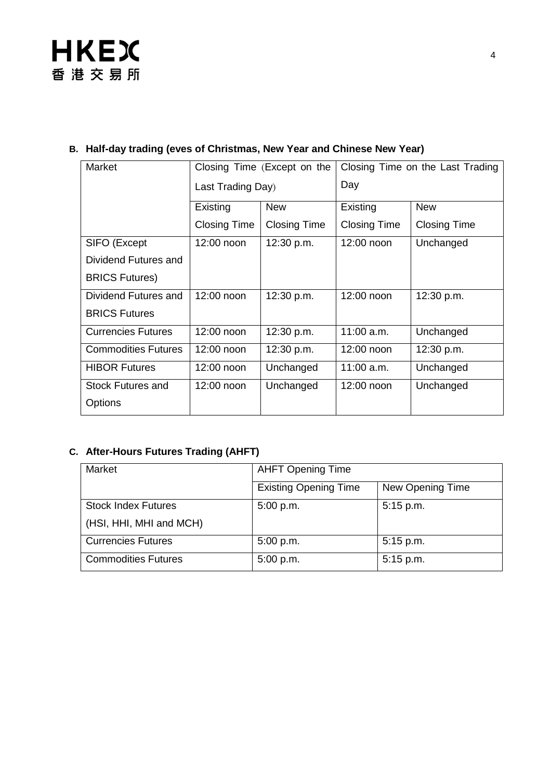### **B. Half-day trading (eves of Christmas, New Year and Chinese New Year)**

| Market                     | Closing Time (Except on the |                     | Closing Time on the Last Trading |                     |
|----------------------------|-----------------------------|---------------------|----------------------------------|---------------------|
|                            | Last Trading Day)           |                     | Day                              |                     |
|                            | Existing                    | <b>New</b>          | Existing                         | <b>New</b>          |
|                            | <b>Closing Time</b>         | <b>Closing Time</b> | <b>Closing Time</b>              | <b>Closing Time</b> |
| SIFO (Except               | 12:00 noon                  | 12:30 p.m.          | 12:00 noon                       | Unchanged           |
| Dividend Futures and       |                             |                     |                                  |                     |
| <b>BRICS Futures)</b>      |                             |                     |                                  |                     |
| Dividend Futures and       | 12:00 noon                  | 12:30 p.m.          | 12:00 noon                       | 12:30 p.m.          |
| <b>BRICS Futures</b>       |                             |                     |                                  |                     |
| <b>Currencies Futures</b>  | 12:00 noon                  | 12:30 p.m.          | 11:00 a.m.                       | Unchanged           |
| <b>Commodities Futures</b> | 12:00 noon                  | 12:30 p.m.          | 12:00 noon                       | 12:30 p.m.          |
| <b>HIBOR Futures</b>       | 12:00 noon                  | Unchanged           | $11:00$ a.m.                     | Unchanged           |
| Stock Futures and          | $12:00$ noon                | Unchanged           | 12:00 noon                       | Unchanged           |
| Options                    |                             |                     |                                  |                     |

## **C. After-Hours Futures Trading (AHFT)**

| Market                     | <b>AHFT Opening Time</b>     |                  |  |
|----------------------------|------------------------------|------------------|--|
|                            | <b>Existing Opening Time</b> | New Opening Time |  |
| <b>Stock Index Futures</b> | 5:00 p.m.                    | 5:15 p.m.        |  |
| (HSI, HHI, MHI and MCH)    |                              |                  |  |
| <b>Currencies Futures</b>  | 5:00 p.m.                    | $5:15$ p.m.      |  |
| <b>Commodities Futures</b> | 5:00 p.m.                    | 5:15 p.m.        |  |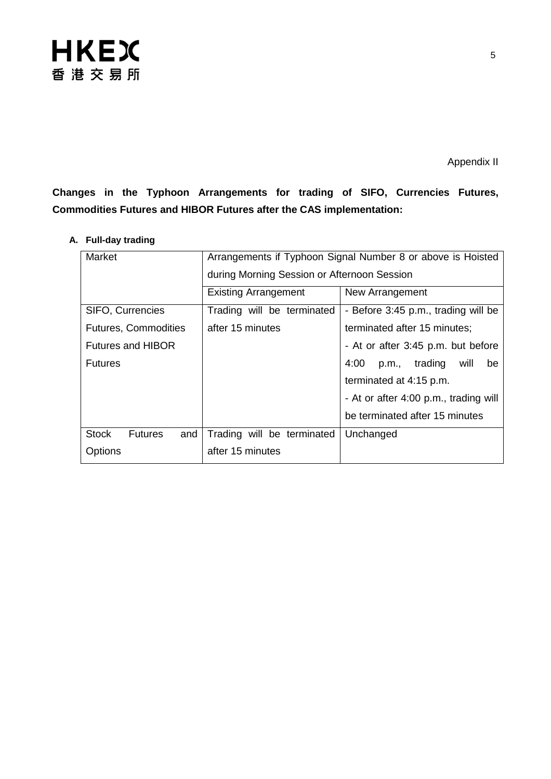

**Changes in the Typhoon Arrangements for trading of SIFO, Currencies Futures, Commodities Futures and HIBOR Futures after the CAS implementation:**

| Market                                | Arrangements if Typhoon Signal Number 8 or above is Hoisted       |                                       |  |  |
|---------------------------------------|-------------------------------------------------------------------|---------------------------------------|--|--|
|                                       | during Morning Session or Afternoon Session                       |                                       |  |  |
|                                       | <b>Existing Arrangement</b>                                       | New Arrangement                       |  |  |
| SIFO, Currencies                      | Trading will be terminated<br>- Before 3:45 p.m., trading will be |                                       |  |  |
| <b>Futures, Commodities</b>           | after 15 minutes                                                  | terminated after 15 minutes;          |  |  |
| <b>Futures and HIBOR</b>              | - At or after 3:45 p.m. but before                                |                                       |  |  |
| <b>Futures</b>                        |                                                                   | p.m., trading<br>4:00<br>will<br>be   |  |  |
|                                       |                                                                   | terminated at 4:15 p.m.               |  |  |
|                                       |                                                                   | - At or after 4:00 p.m., trading will |  |  |
|                                       |                                                                   | be terminated after 15 minutes        |  |  |
| <b>Stock</b><br>and<br><b>Futures</b> | Trading will be terminated                                        | Unchanged                             |  |  |
| Options                               | after 15 minutes                                                  |                                       |  |  |

### **A. Full-day trading**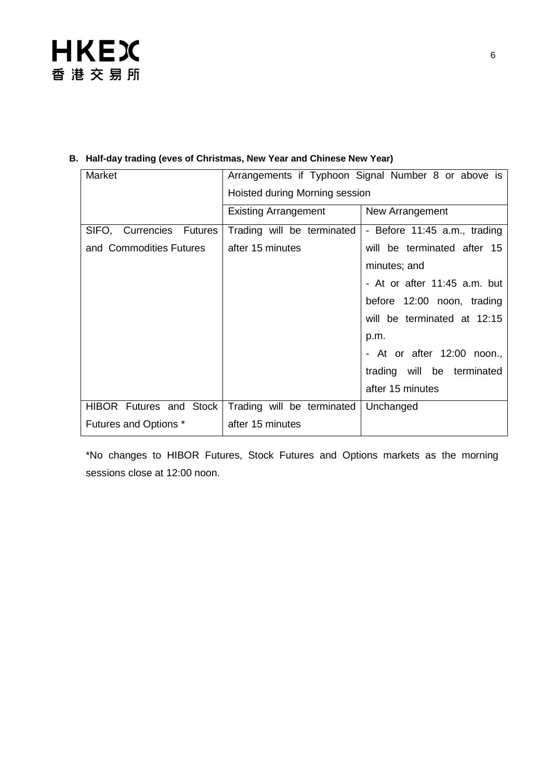

#### **B. Half-day trading (eves of Christmas, New Year and Chinese New Year)**

| Market                   | Arrangements if Typhoon Signal Number 8 or above is |                              |  |  |
|--------------------------|-----------------------------------------------------|------------------------------|--|--|
|                          | Hoisted during Morning session                      |                              |  |  |
|                          | <b>Existing Arrangement</b>                         | New Arrangement              |  |  |
| SIFO, Currencies Futures | Trading will be terminated                          | - Before 11:45 a.m., trading |  |  |
| and Commodities Futures  | after 15 minutes                                    | will be terminated after 15  |  |  |
|                          |                                                     | minutes; and                 |  |  |
|                          |                                                     | - At or after 11:45 a.m. but |  |  |
|                          |                                                     | before 12:00 noon, trading   |  |  |
|                          |                                                     | will be terminated at 12:15  |  |  |
|                          |                                                     | p.m.                         |  |  |
|                          |                                                     | - At or after 12:00 noon.,   |  |  |
|                          |                                                     | trading will be terminated   |  |  |
|                          |                                                     | after 15 minutes             |  |  |
| HIBOR Futures and Stock  | Trading will be terminated                          | Unchanged                    |  |  |
| Futures and Options *    | after 15 minutes                                    |                              |  |  |

\*No changes to HIBOR Futures, Stock Futures and Options markets as the morning sessions close at 12:00 noon.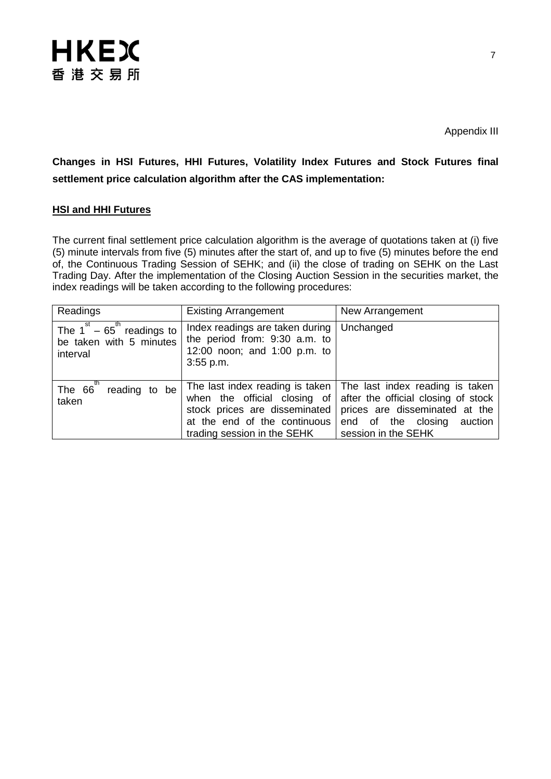

**Changes in HSI Futures, HHI Futures, Volatility Index Futures and Stock Futures final settlement price calculation algorithm after the CAS implementation:**

#### **HSI and HHI Futures**

The current final settlement price calculation algorithm is the average of quotations taken at (i) five (5) minute intervals from five (5) minutes after the start of, and up to five (5) minutes before the end of, the Continuous Trading Session of SEHK; and (ii) the close of trading on SEHK on the Last Trading Day. After the implementation of the Closing Auction Session in the securities market, the index readings will be taken according to the following procedures:

| Readings                                                                           | <b>Existing Arrangement</b>                                                                                     | New Arrangement                                                                                                                                                                                                                 |  |
|------------------------------------------------------------------------------------|-----------------------------------------------------------------------------------------------------------------|---------------------------------------------------------------------------------------------------------------------------------------------------------------------------------------------------------------------------------|--|
| The $1^{st}$ – 65 <sup>th</sup> readings to<br>be taken with 5 minutes<br>interval | Index readings are taken during<br>the period from: 9:30 a.m. to<br>12:00 noon; and 1:00 p.m. to<br>$3:55$ p.m. | Unchanged                                                                                                                                                                                                                       |  |
| th<br>The 66<br>reading to be<br>taken                                             | stock prices are disseminated<br>at the end of the continuous<br>trading session in the SEHK                    | The last index reading is taken   The last index reading is taken<br>when the official closing of after the official closing of stock<br>prices are disseminated at the<br>end of the closing<br>auction<br>session in the SEHK |  |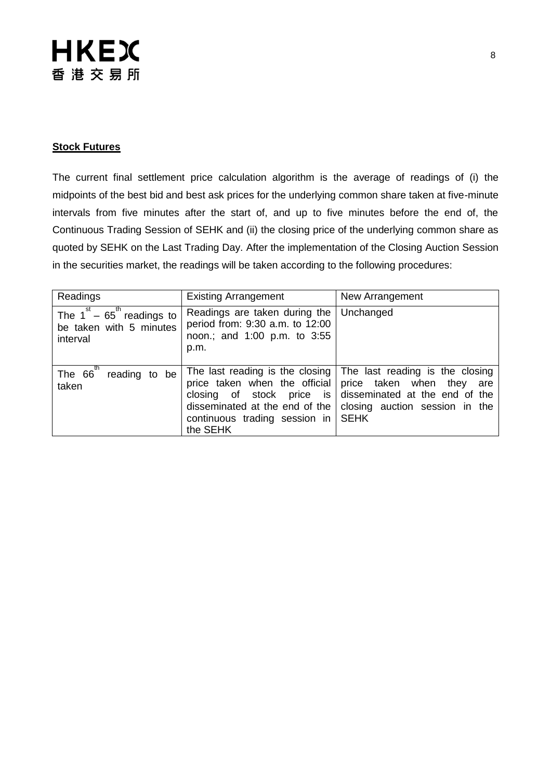# **HKEX** 香港交易所

#### **Stock Futures**

The current final settlement price calculation algorithm is the average of readings of (i) the midpoints of the best bid and best ask prices for the underlying common share taken at five-minute intervals from five minutes after the start of, and up to five minutes before the end of, the Continuous Trading Session of SEHK and (ii) the closing price of the underlying common share as quoted by SEHK on the Last Trading Day. After the implementation of the Closing Auction Session in the securities market, the readings will be taken according to the following procedures:

| Readings                                                                           | <b>Existing Arrangement</b>                                                                              | New Arrangement                                                                                                                                                                                                          |  |
|------------------------------------------------------------------------------------|----------------------------------------------------------------------------------------------------------|--------------------------------------------------------------------------------------------------------------------------------------------------------------------------------------------------------------------------|--|
| The $1^{st}$ – 65 <sup>th</sup> readings to<br>be taken with 5 minutes<br>interval | Readings are taken during the<br>period from: 9:30 a.m. to 12:00<br>noon.; and 1:00 p.m. to 3:55<br>p.m. | Unchanged                                                                                                                                                                                                                |  |
| th<br>The 66<br>reading to be<br>taken                                             | disseminated at the end of the<br>continuous trading session in SEHK<br>the SEHK                         | The last reading is the closing The last reading is the closing<br>price taken when the official price taken when they are<br>closing of stock price is disseminated at the end of the<br>closing auction session in the |  |